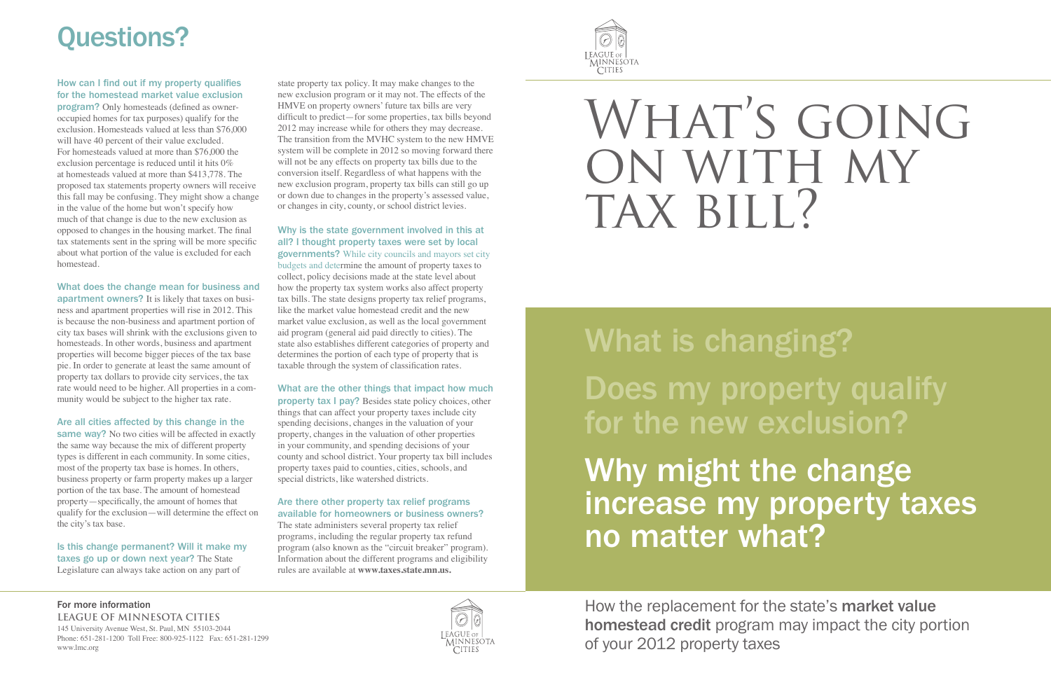### For more information **LEAGUE OF MINNESOTA CITIES**

145 University Avenue West, St. Paul, MN 55103-2044 Phone: 651-281-1200 Toll Free: 800-925-1122 Fax: 651-281-1299 www.lmc.org

### How can I find out if my property qualifies for the homestead market value exclusion

program? Only homesteads (defined as owneroccupied homes for tax purposes) qualify for the exclusion. Homesteads valued at less than \$76,000 will have 40 percent of their value excluded. For homesteads valued at more than \$76,000 the exclusion percentage is reduced until it hits 0% at homesteads valued at more than \$413,778. The proposed tax statements property owners will receive this fall may be confusing. They might show a change in the value of the home but won't specify how much of that change is due to the new exclusion as opposed to changes in the housing market. The final tax statements sent in the spring will be more specific about what portion of the value is excluded for each homestead.

same way? No two cities will be affected in exactly the same way because the mix of different property types is different in each community. In some cities, most of the property tax base is homes. In others, business property or farm property makes up a larger portion of the tax base. The amount of homestead property—specifically, the amount of homes that qualify for the exclusion—will determine the effect on the city's tax base.

What does the change mean for business and apartment owners? It is likely that taxes on business and apartment properties will rise in 2012. This is because the non-business and apartment portion of city tax bases will shrink with the exclusions given to homesteads. In other words, business and apartment properties will become bigger pieces of the tax base pie. In order to generate at least the same amount of property tax dollars to provide city services, the tax rate would need to be higher. All properties in a community would be subject to the higher tax rate.

### Are all cities affected by this change in the

Is this change permanent? Will it make my taxes go up or down next year? The State Legislature can always take action on any part of

# What is changing? Does my property qualify for the new exclusion? Why might the change<br>increase my property taxes no matter what?



state property tax policy. It may make changes to the new exclusion program or it may not. The effects of the HMVE on property owners' future tax bills are very difficult to predict—for some properties, tax bills beyond 2012 may increase while for others they may decrease. The transition from the MVHC system to the new HMVE system will be complete in 2012 so moving forward there will not be any effects on property tax bills due to the conversion itself. Regardless of what happens with the new exclusion program, property tax bills can still go up or down due to changes in the property's assessed value, or changes in city, county, or school district levies.

### Why is the state government involved in this at all? I thought property taxes were set by local

governments? While city councils and mayors set city budgets and determine the amount of property taxes to collect, policy decisions made at the state level about how the property tax system works also affect property tax bills. The state designs property tax relief programs, like the market value homestead credit and the new market value exclusion, as well as the local government aid program (general aid paid directly to cities). The state also establishes different categories of property and determines the portion of each type of property that is taxable through the system of classification rates.

### What are the other things that impact how much

property tax I pay? Besides state policy choices, other things that can affect your property taxes include city spending decisions, changes in the valuation of your property, changes in the valuation of other properties in your community, and spending decisions of your county and school district. Your property tax bill includes property taxes paid to counties, cities, schools, and special districts, like watershed districts.

### Are there other property tax relief programs available for homeowners or business owners?

The state administers several property tax relief programs, including the regular property tax refund program (also known as the "circuit breaker" program). Information about the different programs and eligibility rules are available at **www.taxes.state.mn.us.** 



# WHAT'S GOING on with my TAX BILL?

# Questions?

How the replacement for the state's market value homestead credit program may impact the city portion of your 2012 property taxes